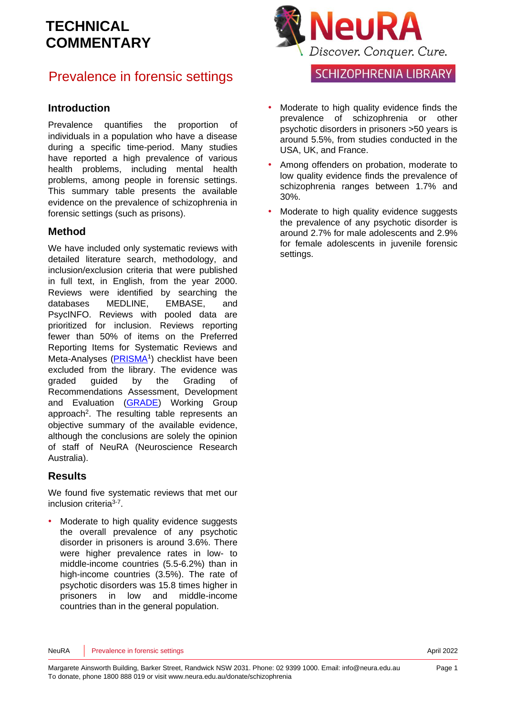## Prevalence in forensic settings

#### **Introduction**

Prevalence quantifies the proportion of individuals in a population who have a disease during a specific time-period. Many studies have reported a high prevalence of various health problems, including mental health problems, among people in forensic settings. This summary table presents the available evidence on the prevalence of schizophrenia in forensic settings (such as prisons).

### **Method**

We have included only systematic reviews with detailed literature search, methodology, and inclusion/exclusion criteria that were published in full text, in English, from the year 2000. Reviews were identified by searching the databases MEDLINE, EMBASE, and PsycINFO. Reviews with pooled data are prioritized for inclusion. Reviews reporting fewer than 50% of items on the Preferred Reporting Items for Systematic Reviews and Meta-Analyses [\(PRISMA](http://www.prisma-statement.org/)<sup>[1](#page-8-0)</sup>) checklist have been excluded from the library. The evidence was graded guided by the Grading of Recommendations Assessment, Development and Evaluation [\(GRADE\)](http://www.gradeworkinggroup.org/) Working Group approach<sup>2</sup>[.](#page-8-1) The resulting table represents an objective summary of the available evidence, although the conclusions are solely the opinion of staff of NeuRA (Neuroscience Research Australia).

### **Results**

We found five systematic reviews that met our inclusion criteria<sup>[3-7](#page-8-2)</sup>.

• Moderate to high quality evidence suggests the overall prevalence of any psychotic disorder in prisoners is around 3.6%. There were higher prevalence rates in low- to middle-income countries (5.5-6.2%) than in high-income countries (3.5%). The rate of psychotic disorders was 15.8 times higher in prisoners in low and middle-income countries than in the general population.



### **SCHIZOPHRENIA LIBRARY**

- Moderate to high quality evidence finds the prevalence of schizophrenia or other psychotic disorders in prisoners >50 years is around 5.5%, from studies conducted in the USA, UK, and France.
- Among offenders on probation, moderate to low quality evidence finds the prevalence of schizophrenia ranges between 1.7% and 30%.
- Moderate to high quality evidence suggests the prevalence of any psychotic disorder is around 2.7% for male adolescents and 2.9% for female adolescents in juvenile forensic settings.

NeuRA Prevalence in forensic settings April 2022 **Provides April 2022** April 2022

Page 1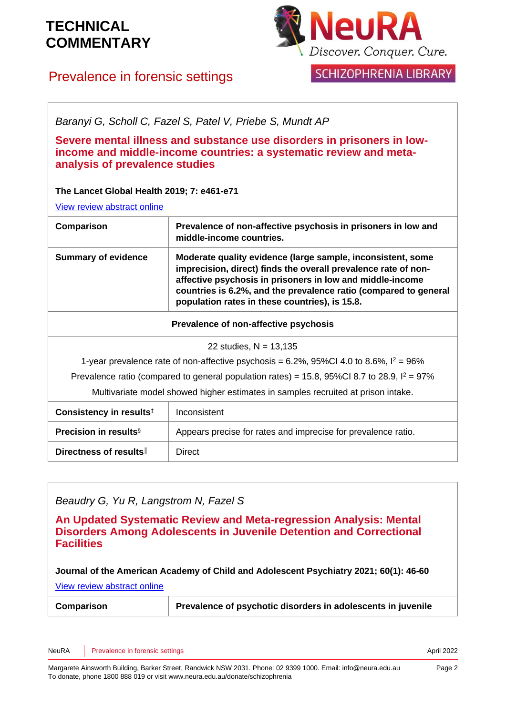

**SCHIZOPHRENIA LIBRARY** 

### Prevalence in forensic settings

| Baranyi G, Scholl C, Fazel S, Patel V, Priebe S, Mundt AP                                                                                                                                                                   |                                                                                                                                                                                                                                                                                                                  |
|-----------------------------------------------------------------------------------------------------------------------------------------------------------------------------------------------------------------------------|------------------------------------------------------------------------------------------------------------------------------------------------------------------------------------------------------------------------------------------------------------------------------------------------------------------|
| Severe mental illness and substance use disorders in prisoners in low-<br>income and middle-income countries: a systematic review and meta-<br>analysis of prevalence studies<br>The Lancet Global Health 2019; 7: e461-e71 |                                                                                                                                                                                                                                                                                                                  |
| View review abstract online                                                                                                                                                                                                 |                                                                                                                                                                                                                                                                                                                  |
| Comparison                                                                                                                                                                                                                  | Prevalence of non-affective psychosis in prisoners in low and<br>middle-income countries.                                                                                                                                                                                                                        |
| <b>Summary of evidence</b>                                                                                                                                                                                                  | Moderate quality evidence (large sample, inconsistent, some<br>imprecision, direct) finds the overall prevalence rate of non-<br>affective psychosis in prisoners in low and middle-income<br>countries is 6.2%, and the prevalence ratio (compared to general<br>population rates in these countries), is 15.8. |
| Prevalence of non-affective psychosis                                                                                                                                                                                       |                                                                                                                                                                                                                                                                                                                  |
| 22 studies, $N = 13,135$                                                                                                                                                                                                    |                                                                                                                                                                                                                                                                                                                  |
| 1-year prevalence rate of non-affective psychosis = 6.2%, 95%Cl 4.0 to 8.6%, $I^2 = 96\%$                                                                                                                                   |                                                                                                                                                                                                                                                                                                                  |
| Prevalence ratio (compared to general population rates) = 15.8, 95%Cl 8.7 to 28.9, $I^2 = 97\%$                                                                                                                             |                                                                                                                                                                                                                                                                                                                  |
| Multivariate model showed higher estimates in samples recruited at prison intake.                                                                                                                                           |                                                                                                                                                                                                                                                                                                                  |
| Consistency in results <sup>#</sup>                                                                                                                                                                                         | Inconsistent                                                                                                                                                                                                                                                                                                     |
| <b>Precision in results</b> §                                                                                                                                                                                               | Appears precise for rates and imprecise for prevalence ratio.                                                                                                                                                                                                                                                    |
| Directness of results                                                                                                                                                                                                       | Direct                                                                                                                                                                                                                                                                                                           |

### *Beaudry G, Yu R, Langstrom N, Fazel S*

**An Updated Systematic Review and Meta-regression Analysis: Mental Disorders Among Adolescents in Juvenile Detention and Correctional Facilities**

**Journal of the American Academy of Child and Adolescent Psychiatry 2021; 60(1): 46-60**

[View review abstract online](https://pubmed.ncbi.nlm.nih.gov/32035113/)

| Comparison | Prevalence of psychotic disorders in adolescents in juvenile |
|------------|--------------------------------------------------------------|
|------------|--------------------------------------------------------------|

NeuRA Prevalence in forensic settings April 2022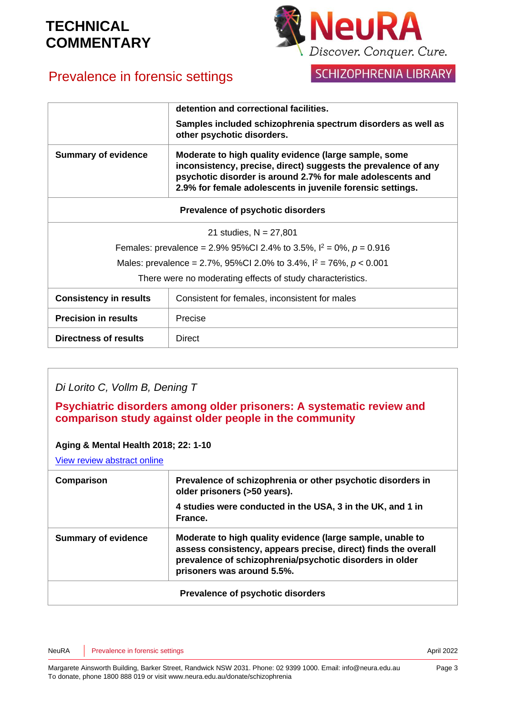# Prevalence in forensic settings



### SCHIZOPHRENIA LIBRARY

|                                                                          | detention and correctional facilities.                                                                                                                                                                                                              |
|--------------------------------------------------------------------------|-----------------------------------------------------------------------------------------------------------------------------------------------------------------------------------------------------------------------------------------------------|
|                                                                          | Samples included schizophrenia spectrum disorders as well as<br>other psychotic disorders.                                                                                                                                                          |
| <b>Summary of evidence</b>                                               | Moderate to high quality evidence (large sample, some<br>inconsistency, precise, direct) suggests the prevalence of any<br>psychotic disorder is around 2.7% for male adolescents and<br>2.9% for female adolescents in juvenile forensic settings. |
| Prevalence of psychotic disorders                                        |                                                                                                                                                                                                                                                     |
| 21 studies, $N = 27,801$                                                 |                                                                                                                                                                                                                                                     |
| Females: prevalence = 2.9% 95%Cl 2.4% to 3.5%, $I^2 = 0\%$ , $p = 0.916$ |                                                                                                                                                                                                                                                     |
| Males: prevalence = 2.7%, 95%CI 2.0% to 3.4%, $I^2 = 76\%$ , $p < 0.001$ |                                                                                                                                                                                                                                                     |
| There were no moderating effects of study characteristics.               |                                                                                                                                                                                                                                                     |
| <b>Consistency in results</b>                                            | Consistent for females, inconsistent for males                                                                                                                                                                                                      |
| <b>Precision in results</b>                                              | Precise                                                                                                                                                                                                                                             |
| <b>Directness of results</b>                                             | <b>Direct</b>                                                                                                                                                                                                                                       |

### *Di Lorito C, Vollm B, Dening T*

**Psychiatric disorders among older prisoners: A systematic review and comparison study against older people in the community**

#### **Aging & Mental Health 2018; 22: 1-10**

[View review abstract online](https://www.ncbi.nlm.nih.gov/pubmed/28282734)

| Comparison                        | Prevalence of schizophrenia or other psychotic disorders in<br>older prisoners (>50 years).<br>4 studies were conducted in the USA, 3 in the UK, and 1 in<br>France.                                                   |
|-----------------------------------|------------------------------------------------------------------------------------------------------------------------------------------------------------------------------------------------------------------------|
| <b>Summary of evidence</b>        | Moderate to high quality evidence (large sample, unable to<br>assess consistency, appears precise, direct) finds the overall<br>prevalence of schizophrenia/psychotic disorders in older<br>prisoners was around 5.5%. |
| Prevalence of psychotic disorders |                                                                                                                                                                                                                        |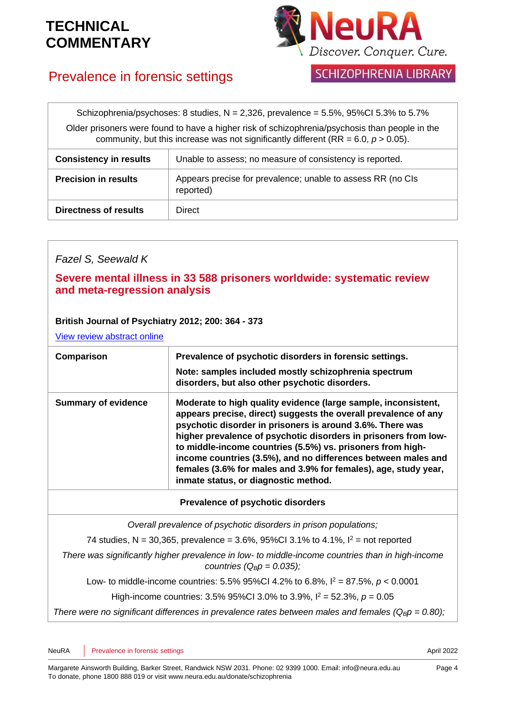

## Prevalence in forensic settings

### **SCHIZOPHRENIA LIBRARY**

| Schizophrenia/psychoses: 8 studies, $N = 2,326$ , prevalence = 5.5%, 95%CI 5.3% to 5.7%        |
|------------------------------------------------------------------------------------------------|
| Older prisoners were found to have a higher risk of schizophrenia/psychosis than people in the |
| community, but this increase was not significantly different (RR = $6.0, p > 0.05$ ).          |
|                                                                                                |

| <b>Consistency in results</b> | Unable to assess; no measure of consistency is reported.                 |
|-------------------------------|--------------------------------------------------------------------------|
| <b>Precision in results</b>   | Appears precise for prevalence; unable to assess RR (no CIs<br>reported) |
| <b>Directness of results</b>  | Direct                                                                   |

### *Fazel S, Seewald K*

### **Severe mental illness in 33 588 prisoners worldwide: systematic review and meta-regression analysis**

#### **British Journal of Psychiatry 2012; 200: 364 - 373**

[View review abstract online](http://www.ncbi.nlm.nih.gov/pubmed/22550330)

| Comparison                 | Prevalence of psychotic disorders in forensic settings.<br>Note: samples included mostly schizophrenia spectrum<br>disorders, but also other psychotic disorders.                                                                                                                                                                                                                                                                                                                                           |
|----------------------------|-------------------------------------------------------------------------------------------------------------------------------------------------------------------------------------------------------------------------------------------------------------------------------------------------------------------------------------------------------------------------------------------------------------------------------------------------------------------------------------------------------------|
| <b>Summary of evidence</b> | Moderate to high quality evidence (large sample, inconsistent,<br>appears precise, direct) suggests the overall prevalence of any<br>psychotic disorder in prisoners is around 3.6%. There was<br>higher prevalence of psychotic disorders in prisoners from low-<br>to middle-income countries (5.5%) vs. prisoners from high-<br>income countries (3.5%), and no differences between males and<br>females (3.6% for males and 3.9% for females), age, study year,<br>inmate status, or diagnostic method. |
|                            |                                                                                                                                                                                                                                                                                                                                                                                                                                                                                                             |

#### **Prevalence of psychotic disorders**

*Overall prevalence of psychotic disorders in prison populations;*

74 studies, N = 30,365, prevalence = 3.6%, 95%CI 3.1% to 4.1%,  $I^2$  = not reported

*There was significantly higher prevalence in low- to middle-income countries than in high-income countries (QBp = 0.035);*

Low- to middle-income countries:  $5.5\%$  95%CI 4.2% to  $6.8\%$ ,  $l^2 = 87.5\%$ ,  $p < 0.0001$ 

High-income countries:  $3.5\%$  95%CI 3.0% to  $3.9\%$ ,  $I^2 = 52.3\%$ ,  $p = 0.05$ 

*There were no significant differences in prevalence rates between males and females (QBp = 0.80);*

NeuRA Prevalence in forensic settings April 2022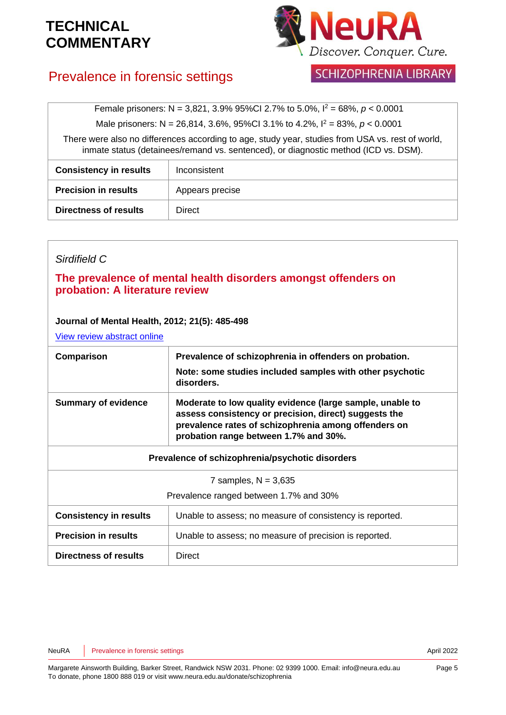

**SCHIZOPHRENIA LIBRARY** 

# Prevalence in forensic settings

Female prisoners: N = 3,821, 3.9% 95%CI 2.7% to 5.0%, I <sup>2</sup> = 68%, *p* < 0.0001

Male prisoners: N = 26,814, 3.6%, 95%CI 3.1% to 4.2%, I <sup>2</sup> = 83%, *p* < 0.0001

There were also no differences according to age, study year, studies from USA vs. rest of world, inmate status (detainees/remand vs. sentenced), or diagnostic method (ICD vs. DSM).

| <b>Consistency in results</b> | Inconsistent    |
|-------------------------------|-----------------|
| <b>Precision in results</b>   | Appears precise |
| <b>Directness of results</b>  | <b>Direct</b>   |

### *Sirdifield C*

### **The prevalence of mental health disorders amongst offenders on probation: A literature review**

#### **Journal of Mental Health, 2012; 21(5): 485-498**

[View review abstract online](http://www.ncbi.nlm.nih.gov/pubmed/22548345)

| Comparison                                      | Prevalence of schizophrenia in offenders on probation.<br>Note: some studies included samples with other psychotic<br>disorders.                                                                                    |
|-------------------------------------------------|---------------------------------------------------------------------------------------------------------------------------------------------------------------------------------------------------------------------|
| <b>Summary of evidence</b>                      | Moderate to low quality evidence (large sample, unable to<br>assess consistency or precision, direct) suggests the<br>prevalence rates of schizophrenia among offenders on<br>probation range between 1.7% and 30%. |
| Prevalence of schizophrenia/psychotic disorders |                                                                                                                                                                                                                     |
| 7 samples, $N = 3,635$                          |                                                                                                                                                                                                                     |
| Prevalence ranged between 1.7% and 30%          |                                                                                                                                                                                                                     |
| <b>Consistency in results</b>                   | Unable to assess; no measure of consistency is reported.                                                                                                                                                            |
| <b>Precision in results</b>                     | Unable to assess; no measure of precision is reported.                                                                                                                                                              |
| Directness of results                           | <b>Direct</b>                                                                                                                                                                                                       |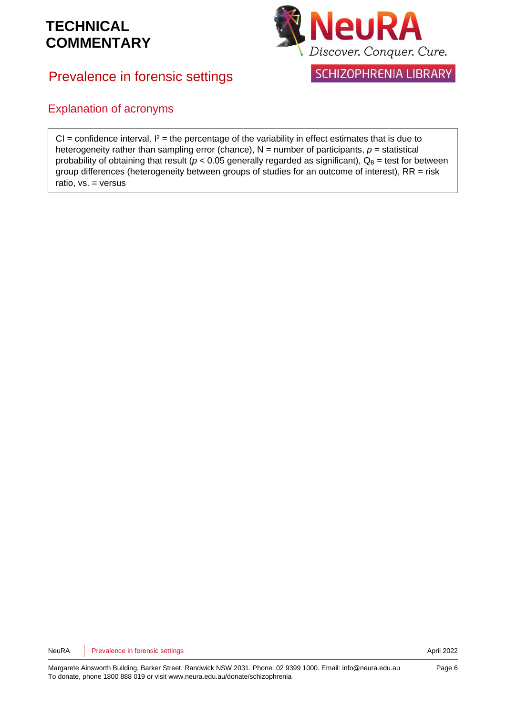Prevalence in forensic settings



**SCHIZOPHRENIA LIBRARY** 

### Explanation of acronyms

CI = confidence interval*,* I² = the percentage of the variability in effect estimates that is due to heterogeneity rather than sampling error (chance),  $N =$  number of participants,  $p =$  statistical probability of obtaining that result ( $p < 0.05$  generally regarded as significant),  $Q_B$  = test for between group differences (heterogeneity between groups of studies for an outcome of interest),  $RR = risk$ ratio, vs. = versus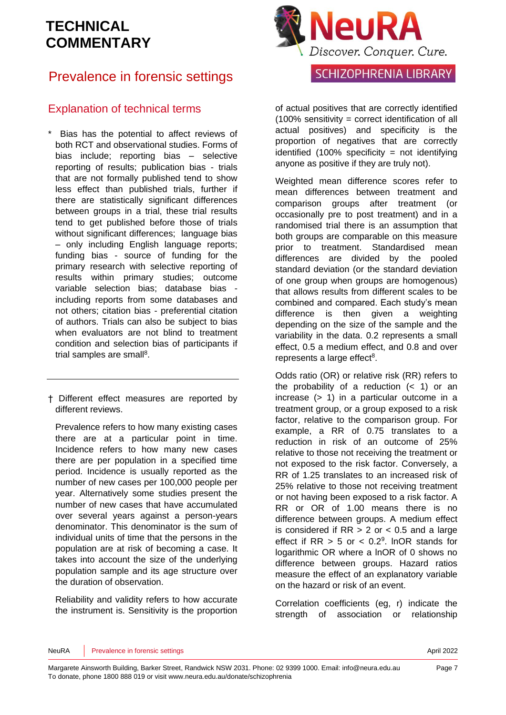# Prevalence in forensic settings

### Explanation of technical terms

- Bias has the potential to affect reviews of both RCT and observational studies. Forms of bias include; reporting bias – selective reporting of results; publication bias - trials that are not formally published tend to show less effect than published trials, further if there are statistically significant differences between groups in a trial, these trial results tend to get published before those of trials without significant differences: language bias – only including English language reports; funding bias - source of funding for the primary research with selective reporting of results within primary studies; outcome variable selection bias; database bias including reports from some databases and not others; citation bias - preferential citation of authors. Trials can also be subject to bias when evaluators are not blind to treatment condition and selection bias of participants if trial samples are sma[ll](#page-8-3)<sup>8</sup>.
- † Different effect measures are reported by different reviews.

Prevalence refers to how many existing cases there are at a particular point in time. Incidence refers to how many new cases there are per population in a specified time period. Incidence is usually reported as the number of new cases per 100,000 people per year. Alternatively some studies present the number of new cases that have accumulated over several years against a person-years denominator. This denominator is the sum of individual units of time that the persons in the population are at risk of becoming a case. It takes into account the size of the underlying population sample and its age structure over the duration of observation.

Reliability and validity refers to how accurate the instrument is. Sensitivity is the proportion



### **SCHIZOPHRENIA LIBRARY**

of actual positives that are correctly identified (100% sensitivity = correct identification of all actual positives) and specificity is the proportion of negatives that are correctly identified  $(100\%$  specificity = not identifying anyone as positive if they are truly not).

Weighted mean difference scores refer to mean differences between treatment and comparison groups after treatment (or occasionally pre to post treatment) and in a randomised trial there is an assumption that both groups are comparable on this measure prior to treatment. Standardised mean differences are divided by the pooled standard deviation (or the standard deviation of one group when groups are homogenous) that allows results from different scales to be combined and compared. Each study's mean difference is then given a weighting depending on the size of the sample and the variability in the data. 0.2 represents a small effect, 0.5 a medium effect, and 0.8 and over represents a large effect<sup>[8](#page-8-3)</sup>.

Odds ratio (OR) or relative risk (RR) refers to the probability of a reduction  $($   $<$  1) or an increase (> 1) in a particular outcome in a treatment group, or a group exposed to a risk factor, relative to the comparison group. For example, a RR of 0.75 translates to a reduction in risk of an outcome of 25% relative to those not receiving the treatment or not exposed to the risk factor. Conversely, a RR of 1.25 translates to an increased risk of 25% relative to those not receiving treatment or not having been exposed to a risk factor. A RR or OR of 1.00 means there is no difference between groups. A medium effect is considered if  $RR > 2$  or  $< 0.5$  and a large effect if  $RR > 5$  or  $< 0.2<sup>9</sup>$  $< 0.2<sup>9</sup>$  $< 0.2<sup>9</sup>$ . InOR stands for logarithmic OR where a lnOR of 0 shows no difference between groups. Hazard ratios measure the effect of an explanatory variable on the hazard or risk of an event.

Correlation coefficients (eg, r) indicate the strength of association or relationship

#### NeuRA Prevalence in forensic settings April 2022 **Provides April 2022** April 2022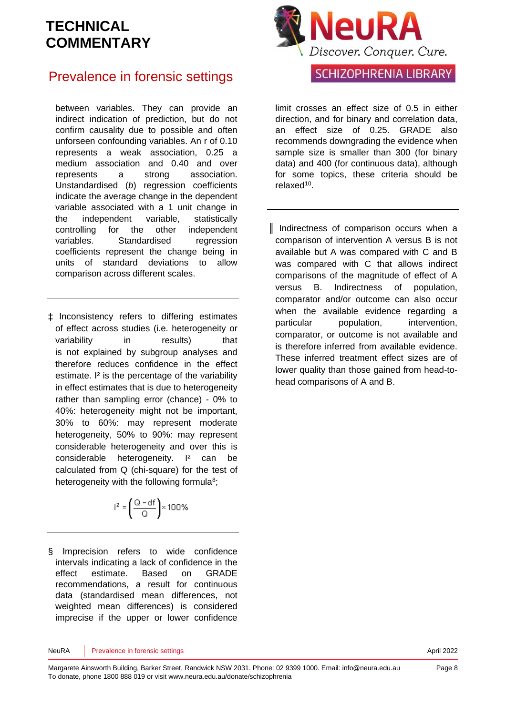### Prevalence in forensic settings

between variables. They can provide an indirect indication of prediction, but do not confirm causality due to possible and often unforseen confounding variables. An r of 0.10 represents a weak association, 0.25 a medium association and 0.40 and over represents a strong association. Unstandardised (*b*) regression coefficients indicate the average change in the dependent variable associated with a 1 unit change in the independent variable, statistically controlling for the other independent variables. Standardised regression coefficients represent the change being in units of standard deviations to allow comparison across different scales.

‡ Inconsistency refers to differing estimates of effect across studies (i.e. heterogeneity or variability in results) that is not explained by subgroup analyses and therefore reduces confidence in the effect estimate. I<sup>2</sup> is the percentage of the variability in effect estimates that is due to heterogeneity rather than sampling error (chance) - 0% to 40%: heterogeneity might not be important, 30% to 60%: may represent moderate heterogeneity, 50% to 90%: may represent considerable heterogeneity and over this is considerable heterogeneity. I² can be calculated from Q (chi-square) for the test of heterogeneity with the following formul[a](#page-8-3)<sup>8</sup>;

$$
l^2 = \left(\frac{Q - df}{Q}\right) \times 100\%
$$

§ Imprecision refers to wide confidence intervals indicating a lack of confidence in the effect estimate. Based on GRADE recommendations, a result for continuous data (standardised mean differences, not weighted mean differences) is considered imprecise if the upper or lower confidence



### **SCHIZOPHRENIA LIBRARY**

limit crosses an effect size of 0.5 in either direction, and for binary and correlation data, an effect size of 0.25. GRADE also recommends downgrading the evidence when sample size is smaller than 300 (for binary data) and 400 (for continuous data), although for some topics, these criteria should be relaxed<sup>[10](#page-8-5)</sup>.

║ Indirectness of comparison occurs when a comparison of intervention A versus B is not available but A was compared with C and B was compared with C that allows indirect comparisons of the magnitude of effect of A versus B. Indirectness of population, comparator and/or outcome can also occur when the available evidence regarding a particular population, intervention, comparator, or outcome is not available and is therefore inferred from available evidence. These inferred treatment effect sizes are of lower quality than those gained from head-tohead comparisons of A and B.

NeuRA Prevalence in forensic settings April 2022 **Provides April 2022** April 2022